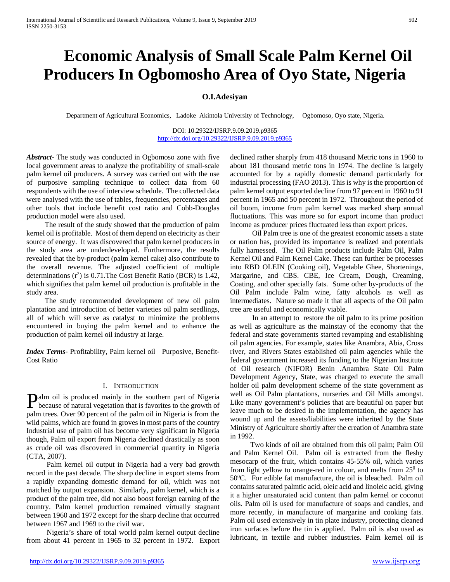# **Economic Analysis of Small Scale Palm Kernel Oil Producers In Ogbomosho Area of Oyo State, Nigeria**

# **O.I.Adesiyan**

Department of Agricultural Economics, Ladoke Akintola University of Technology, Ogbomoso, Oyo state, Nigeria.

DOI: 10.29322/IJSRP.9.09.2019.p9365 <http://dx.doi.org/10.29322/IJSRP.9.09.2019.p9365>

*Abstract***-** The study was conducted in Ogbomoso zone with five local government areas to analyze the profitability of small-scale palm kernel oil producers. A survey was carried out with the use of purposive sampling technique to collect data from 60 respondents with the use of interview schedule. The collected data were analysed with the use of tables, frequencies, percentages and other tools that include benefit cost ratio and Cobb-Douglas production model were also used.

 The result of the study showed that the production of palm kernel oil is profitable. Most of them depend on electricity as their source of energy. It was discovered that palm kernel producers in the study area are underdeveloped. Furthermore, the results revealed that the by-product (palm kernel cake) also contribute to the overall revenue. The adjusted coefficient of multiple determinations  $(r^2)$  is 0.71. The Cost Benefit Ratio (BCR) is 1.42, which signifies that palm kernel oil production is profitable in the study area.

 The study recommended development of new oil palm plantation and introduction of better varieties oil palm seedlings, all of which will serve as catalyst to minimize the problems encountered in buying the palm kernel and to enhance the production of palm kernel oil industry at large.

*Index Terms*- Profitability, Palm kernel oil Purposive, Benefit-Cost Ratio

#### I. INTRODUCTION

alm oil is produced mainly in the southern part of Nigeria **Palm** oil is produced mainly in the southern part of Nigeria<br>because of natural vegetation that is favorites to the growth of palm trees. Over 90 percent of the palm oil in Nigeria is from the wild palms, which are found in groves in most parts of the country Industrial use of palm oil has become very significant in Nigeria though, Palm oil export from Nigeria declined drastically as soon as crude oil was discovered in commercial quantity in Nigeria (CTA, 2007).

 Palm kernel oil output in Nigeria had a very bad growth record in the past decade. The sharp decline in export stems from a rapidly expanding domestic demand for oil, which was not matched by output expansion. Similarly, palm kernel, which is a product of the palm tree, did not also boost foreign earning of the country. Palm kernel production remained virtually stagnant between 1960 and 1972 except for the sharp decline that occurred between 1967 and 1969 to the civil war.

 Nigeria's share of total world palm kernel output decline from about 41 percent in 1965 to 32 percent in 1972. Export declined rather sharply from 418 thousand Metric tons in 1960 to about 181 thousand metric tons in 1974. The decline is largely accounted for by a rapidly domestic demand particularly for industrial processing (FAO 2013). This is why is the proportion of palm kernel output exported decline from 97 percent in 1960 to 91 percent in 1965 and 50 percent in 1972. Throughout the period of oil boom, income from palm kernel was marked sharp annual fluctuations. This was more so for export income than product income as producer prices fluctuated less than export prices.

 Oil Palm tree is one of the greatest economic assets a state or nation has, provided its importance is realized and potentials fully harnessed. The Oil Palm products include Palm Oil, Palm Kernel Oil and Palm Kernel Cake. These can further be processes into RBD OLEIN (Cooking oil), Vegetable Ghee, Shortenings, Margarine, and CBS. CBE, Ice Cream, Dough, Creaming, Coating, and other specially fats. Some other by-products of the Oil Palm include Palm wine, fatty alcohols as well as intermediates. Nature so made it that all aspects of the Oil palm tree are useful and economically viable.

 In an attempt to restore the oil palm to its prime position as well as agriculture as the mainstay of the economy that the federal and state governments started revamping and establishing oil palm agencies. For example, states like Anambra, Abia, Cross river, and Rivers States established oil palm agencies while the federal government increased its funding to the Nigerian Institute of Oil research (NIFOR) Benin .Anambra State Oil Palm Development Agency, State, was charged to execute the small holder oil palm development scheme of the state government as well as Oil Palm plantations, nurseries and Oil Mills amongst. Like many government's policies that are beautiful on paper but leave much to be desired in the implementation, the agency has wound up and the assets/liabilities were inherited by the State Ministry of Agriculture shortly after the creation of Anambra state in 1992.

 Two kinds of oil are obtained from this oil palm; Palm Oil and Palm Kernel Oil. Palm oil is extracted from the fleshy mesocarp of the fruit, which contains 45-55% oil, which varies from light yellow to orange-red in colour, and melts from  $25^{\circ}$  to 50<sup>o</sup>C. For edible fat manufacture, the oil is bleached. Palm oil contains saturated palmtic acid, oleic acid and linoleic acid, giving it a higher unsaturated acid content than palm kernel or coconut oils. Palm oil is used for manufacture of soaps and candles, and more recently, in manufacture of margarine and cooking fats. Palm oil used extensively in tin plate industry, protecting cleaned iron surfaces before the tin is applied. Palm oil is also used as lubricant, in textile and rubber industries. Palm kernel oil is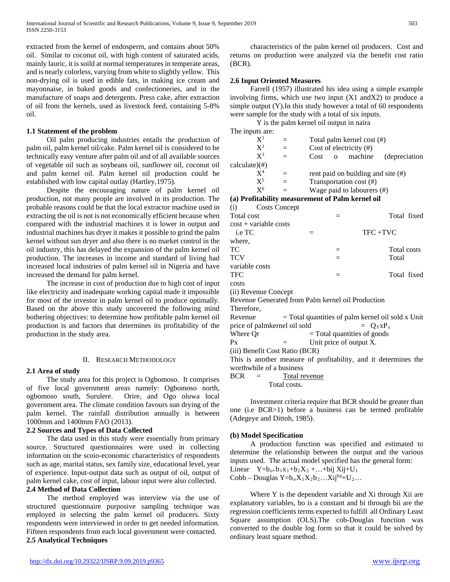extracted from the kernel of endosperm, and contains about 50% oil. Similar to coconut oil, with high content of saturated acids, mainly lauric, it is soild at normal temperatures in temperate areas, and is nearly colorless, varying from white to slightly yellow. This non-drying oil is used in edible fats, in making ice cream and mayonnaise, in baked goods and confectioneries, and in the manufacture of soaps and detergents. Press cake, after extraction of oil from the kernels, used as livestock feed, containing 5-8% oil.

#### **1.1 Statement of the problem**

 Oil palm producing industries entails the production of palm oil, palm kernel oil/cake. Palm kernel oil is considered to be technically easy venture after palm oil and of all available sources of vegetable oil such as soybeans oil, sunflower oil, coconut oil and palm kernel oil. Palm kernel oil production could be established with low capital outlay (Hartley,1975).

 Despite the encouraging nature of palm kernel oil production, not many people are involved in its production. The probable reasons could be that the local extractor machine used in extracting the oil is not is not economically efficient because when compared with the industrial machines it is lower in output and industrial machines has dryer it makes it possible to grind the palm kernel without sun dryer and also there is no market control in the oil industry, this has delayed the expansion of the palm kernel oil production. The increases in income and standard of living had increased local industries of palm kernel oil in Nigeria and have increased the demand for palm kernel.

 The increase in cost of production due to high cost of input like electricity and inadequate working capital made it impossible for most of the investor in palm kernel oil to produce optimally. Based on the above this study uncovered the following mind bothering objectives: to determine how profitable palm kernel oil production is and factors that determines its profitability of the production in the study area.

#### II. RESEARCH METHODOLOGY

#### **2.1 Area of study**

 The study area for this project is Ogbomoso. It comprises of five local government areas namely: Ogbomoso north, ogbomoso south, Surulere. Orire, and Ogo oluwa local government area. The climate condition favours sun drying of the palm kernel. The rainfall distribution annually is between 1000mm and 1400mm FAO (2013).

#### **2.2 Sources and Types of Data Collected**

 The data used in this study were essentially from primary source. Structured questionnaires were used in collecting information on the scoio-economic characteristics of respondents such as age, marital status, sex family size, educational level, year of experience. Input-output data such as output of oil, output of palm kernel cake, cost of input, labour input were also collected.

## **2.4 Method of Data Collection**

 The method employed was interview via the use of structured questionnaire purposive sampling technique was employed in selecting the palm kernel oil producers. Sixty respondents were interviewed in order to get needed information. Fifteen respondents from each local government were contacted. **2.5 Analytical Techniques**

 characteristics of the palm kernel oil producers. Cost and returns on production were analyzed via the benefit cost ratio (BCR).

## **2.6 Input Oriented Measures**

 Farrell (1957) illustrated his idea using a simple example involving firms, which use two input (X1 andX2) to produce a simple output (Y).In this study however a total of 60 respondents were sample for the study with a total of six inputs.

Y is the palm kernel oil output in naira

| The inputs are:                                                 |                                                   |                                     |     |                                       |                                                     |
|-----------------------------------------------------------------|---------------------------------------------------|-------------------------------------|-----|---------------------------------------|-----------------------------------------------------|
| $X^1$                                                           | $=$                                               |                                     |     | Total palm kernel cost (#)            |                                                     |
| $X^2$                                                           | $=$                                               | Cost of electricity (#)             |     |                                       |                                                     |
| $X^3$                                                           | $=$                                               | o machine<br>Cost<br>(depreciation) |     |                                       |                                                     |
| $calculate)(\#)$                                                |                                                   |                                     |     |                                       |                                                     |
| $X^4$                                                           | $=$                                               |                                     |     | rent paid on building and site $(\#)$ |                                                     |
| $X^5$                                                           | $=$                                               |                                     |     | Transportation cost (#)               |                                                     |
| $X^6$                                                           | $=$                                               |                                     |     | Wage paid to labourers $(\#)$         |                                                     |
|                                                                 | (a) Profitability measurement of Palm kernel oil  |                                     |     |                                       |                                                     |
| (i)                                                             | <b>Costs Concept</b>                              |                                     |     |                                       |                                                     |
| Total cost                                                      |                                                   |                                     | $=$ |                                       | Total fixed                                         |
| $cost + variable costs$                                         |                                                   |                                     |     |                                       |                                                     |
| i.e TC                                                          |                                                   | $=$                                 |     | $TFC + TVC$                           |                                                     |
| where.                                                          |                                                   |                                     |     |                                       |                                                     |
| TC                                                              |                                                   |                                     | $=$ |                                       | <b>Total costs</b>                                  |
| <b>TCV</b>                                                      |                                                   |                                     |     |                                       | Total                                               |
| variable costs                                                  |                                                   |                                     |     |                                       |                                                     |
| TFC                                                             |                                                   |                                     | $=$ |                                       | Total fixed                                         |
| costs                                                           |                                                   |                                     |     |                                       |                                                     |
| (ii) Revenue Concept                                            |                                                   |                                     |     |                                       |                                                     |
|                                                                 | Revenue Generated from Palm kernel oil Production |                                     |     |                                       |                                                     |
| Therefore,                                                      |                                                   |                                     |     |                                       |                                                     |
| Revenue                                                         |                                                   |                                     |     |                                       | $=$ Total quantities of palm kernel oil sold x Unit |
| price of palmkernel oil sold<br>$=$ $O_T x P_x$                 |                                                   |                                     |     |                                       |                                                     |
| Where Or                                                        |                                                   |                                     |     | $=$ Total quantities of goods         |                                                     |
| $P_{X}$                                                         | $=$                                               |                                     |     | Unit price of output X.               |                                                     |
|                                                                 | (iii) Benefit Cost Ratio (BCR)                    |                                     |     |                                       |                                                     |
| This is another measure of profitability, and it determines the |                                                   |                                     |     |                                       |                                                     |
|                                                                 | worthwhile of a business                          |                                     |     |                                       |                                                     |
| <b>BCR</b><br>$=$                                               | Total revenue                                     |                                     |     |                                       |                                                     |

Total costs.

 Investment criteria require that BCR should be greater than one (i.e BCR>1) before a business can be termed profitable (Adegeye and Dittoh, 1985).

#### **(b) Model Specification**

 A production function was specified and estimated to determine the relationship between the output and the various inputs used. The actual model specified has the general form: Linear  $Y=b_{0+}b_1x_1+b_2X_2+...+bij Xij+U_1$ Cobb – Douglas  $Y=b_0X_1X_2b_2...X_1j^{bij}+U_2...$ 

Where Y is the dependent variable and Xi through Xii are explanatory variables, bo is a constant and bi through bii are the regression coefficients terms expected to fulfill all Ordinary Least Square assumption (OLS).The cob-Douglas function was converted to the double log form so that it could be solved by ordinary least square method.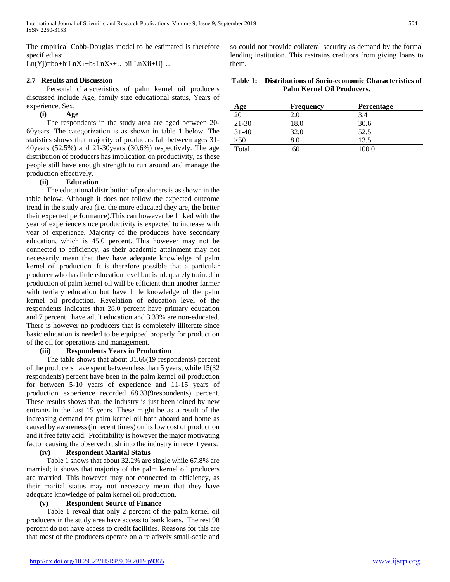The empirical Cobb-Douglas model to be estimated is therefore specified as:

Ln(Yj)=bo+biLn $X_1$ +b<sub>2</sub>Ln $X_2$ +...bii LnXii+Uj...

#### **2.7 Results and Discussion**

 Personal characteristics of palm kernel oil producers discussed include Age, family size educational status, Years of experience, Sex.

# **(i) Age**

 The respondents in the study area are aged between 20- 60years. The categorization is as shown in table 1 below. The statistics shows that majority of producers fall between ages 31- 40years (52.5%) and 21-30years (30.6%) respectively. The age distribution of producers has implication on productivity, as these people still have enough strength to run around and manage the production effectively.

# **(ii) Education**

 The educational distribution of producers is as shown in the table below. Although it does not follow the expected outcome trend in the study area (i.e. the more educated they are, the better their expected performance).This can however be linked with the year of experience since productivity is expected to increase with year of experience. Majority of the producers have secondary education, which is 45.0 percent. This however may not be connected to efficiency, as their academic attainment may not necessarily mean that they have adequate knowledge of palm kernel oil production. It is therefore possible that a particular producer who has little education level but is adequately trained in production of palm kernel oil will be efficient than another farmer with tertiary education but have little knowledge of the palm kernel oil production. Revelation of education level of the respondents indicates that 28.0 percent have primary education and 7 percent have adult education and 3.33% are non-educated. There is however no producers that is completely illiterate since basic education is needed to be equipped properly for production of the oil for operations and management.

# **(iii) Respondents Years in Production**

 The table shows that about 31.66(19 respondents) percent of the producers have spent between less than 5 years, while 15(32 respondents) percent have been in the palm kernel oil production for between 5-10 years of experience and 11-15 years of production experience recorded 68.33(9respondents) percent. These results shows that, the industry is just been joined by new entrants in the last 15 years. These might be as a result of the increasing demand for palm kernel oil both aboard and home as caused by awareness (in recent times) on its low cost of production and it free fatty acid. Profitability is however the major motivating factor causing the observed rush into the industry in recent years.

# **(iv) Respondent Marital Status**

 Table 1 shows that about 32.2% are single while 67.8% are married; it shows that majority of the palm kernel oil producers are married. This however may not connected to efficiency, as their marital status may not necessary mean that they have adequate knowledge of palm kernel oil production.

# **(v) Respondent Source of Finance**

 Table 1 reveal that only 2 percent of the palm kernel oil producers in the study area have access to bank loans. The rest 98 percent do not have access to credit facilities. Reasons for this are that most of the producers operate on a relatively small-scale and so could not provide collateral security as demand by the formal lending institution. This restrains creditors from giving loans to them.

| Table 1: Distributions of Socio-economic Characteristics of |
|-------------------------------------------------------------|
| Palm Kernel Oil Producers.                                  |

| Age       | <b>Frequency</b> | Percentage |
|-----------|------------------|------------|
| 20        | 2.0              | 3.4        |
| $21 - 30$ | 18.0             | 30.6       |
| $31 - 40$ | 32.0             | 52.5       |
| >50       | 8.0              | 13.5       |
| Total     | 60               | 100.0      |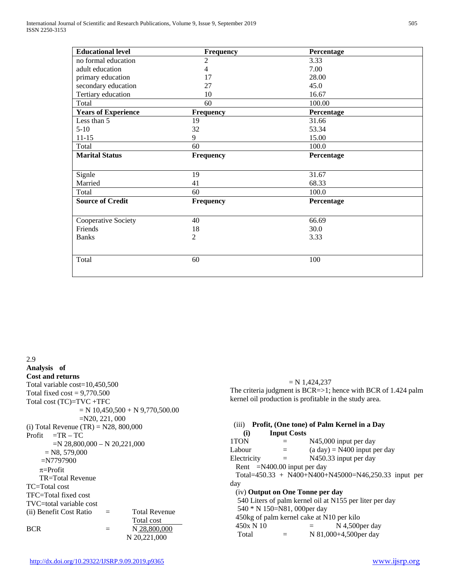| <b>Educational level</b>   | <b>Frequency</b> | Percentage |  |
|----------------------------|------------------|------------|--|
| no formal education        | 2                | 3.33       |  |
| adult education            | 4                | 7.00       |  |
| primary education          | 17               | 28.00      |  |
| secondary education        | 27               | 45.0       |  |
| Tertiary education         | 10               | 16.67      |  |
| Total                      | 60               | 100.00     |  |
| <b>Years of Experience</b> | <b>Frequency</b> | Percentage |  |
| Less than 5                | 19               | 31.66      |  |
| $5-10$                     | 32               | 53.34      |  |
| $11 - 15$                  | 9                | 15.00      |  |
| Total                      | 60               | 100.0      |  |
| <b>Marital Status</b>      | Frequency        | Percentage |  |
|                            |                  |            |  |
| Signle                     | 19               | 31.67      |  |
| Married                    | 41               | 68.33      |  |
| Total                      | 60               | 100.0      |  |
| <b>Source of Credit</b>    | Frequency        | Percentage |  |
| Cooperative Society        | 40               | 66.69      |  |
| Friends                    | 18               | 30.0       |  |
| <b>Banks</b>               | 2                | 3.33       |  |
| Total                      | 60               | 100        |  |
|                            |                  |            |  |

2.9 **Analysis of Cost and returns** Total variable cost=10,450,500 Total fixed  $cost = 9,770.500$ Total cost (TC)=TVC +TFC  $= N 10,450,500 + N 9,770,500.00$ =N20, 221, 000 (i) Total Revenue  $(TR) = N28, 800,000$  $Profit = TR - TC$ =N 28,800,000 – N 20,221,000  $=$  N8, 579,000 =N7797900 π=Profit TR=Total Revenue TC=Total cost TFC=Total fixed cost TVC=total variable cost (ii) Benefit Cost Ratio = Total Revenue Total cost BCR  $=$  N 28,800,000 N 20,221,000

 $= N 1,424,237$ The criteria judgment is BCR=>1; hence with BCR of 1.424 palm kernel oil production is profitable in the study area.

| Profit, (One tone) of Palm Kernel in a Day<br>(iii) |                                  |                                                         |  |  |
|-----------------------------------------------------|----------------------------------|---------------------------------------------------------|--|--|
| (i)                                                 | <b>Input Costs</b>               |                                                         |  |  |
| 1TON                                                | $=$                              | N45,000 input per day                                   |  |  |
| Labour                                              | $=$                              | $(a day) = N400$ input per day                          |  |  |
| Electricity                                         | $=$                              | N450.33 input per day                                   |  |  |
|                                                     | Rent $=N400.00$ input per day    |                                                         |  |  |
|                                                     |                                  | Total=450.33 + N400+N400+N45000=N46,250.33 input per    |  |  |
| day                                                 |                                  |                                                         |  |  |
|                                                     | (iv) Output on One Tonne per day |                                                         |  |  |
|                                                     |                                  | 540 Liters of palm kernel oil at N155 per liter per day |  |  |
|                                                     | 540 * N 150=N81, 000 per day     |                                                         |  |  |
|                                                     |                                  | 450kg of palm kernel cake at N10 per kilo               |  |  |
| 450x N 10                                           |                                  | $N$ 4.500 per day                                       |  |  |
| Total                                               |                                  | N 81,000+4,500 per day                                  |  |  |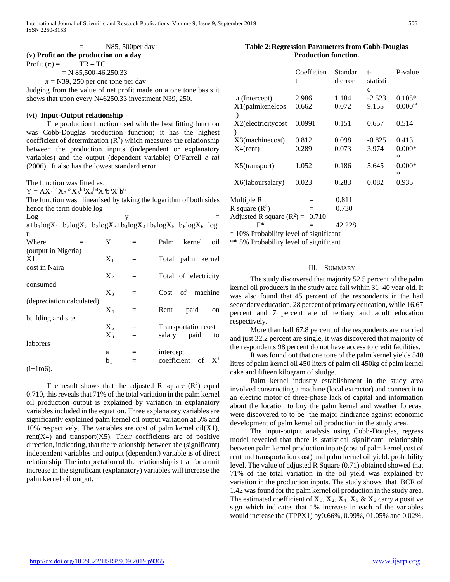# $=$  N85, 500 per day (v) **Profit on the production on a day**

Profit  $(\pi) =$  TR – TC  $= N 85,500-46,250.33$ 

 $\pi$  = N39, 250 per one tone per day

Judging from the value of net profit made on a one tone basis it shows that upon every N46250.33 investment N39, 250.

## (vi) **Input-Output relationship**

 The production function used with the best fitting function was Cobb-Douglas production function; it has the highest coefficient of determination  $(R^2)$  which measures the relationship between the production inputs (independent or explanatory variables) and the output (dependent variable) O'Farrell *e tal* (2006). It also has the lowest standard error.

The function was fitted as:

 $Y = AX_1^{b1}X_2^{b2}X_3^{b3}X_4^{b4}X^5b^5X^6b^6$ 

The function was linearised by taking the logarithm of both sides hence the term double log

| Log                       |                | y   |                                                                     |
|---------------------------|----------------|-----|---------------------------------------------------------------------|
|                           |                |     | $a+b_1logX_1+b_2logX_2+b_3logX_3+b_4logX_4+b_5logX_5+b_6logX_6+log$ |
| u                         |                |     |                                                                     |
| Where                     | Y              |     | kernel<br>Palm<br>oil                                               |
| (output in Nigeria)       |                |     |                                                                     |
| X1                        | $X_1$          |     | Total palm kernel                                                   |
| cost in Naira             |                |     |                                                                     |
|                           | $X_2$          | $=$ | Total of electricity                                                |
| consumed                  |                |     |                                                                     |
|                           | $X_3$          | $=$ | of machine<br>Cost                                                  |
| (depreciation calculated) |                |     |                                                                     |
|                           | $X_4$          | $=$ | paid<br>Rent<br>on                                                  |
| building and site         |                |     |                                                                     |
|                           | $X_5$          | $=$ | Transportation cost                                                 |
|                           | X <sub>6</sub> |     | salary<br>paid<br>to                                                |
| laborers                  |                |     |                                                                     |
|                           | a              |     | intercept                                                           |
|                           | b <sub>1</sub> |     | coefficient<br>$X^1$<br>of                                          |
| $(1 + 1 + 6)$             |                |     |                                                                     |

 $(1+1to6)$ .

The result shows that the adjusted R square  $(R^2)$  equal 0.710, this reveals that 71% of the total variation in the palm kernel oil production output is explained by variation in explanatory variables included in the equation. Three explanatory variables are significantly explained palm kernel oil output variation at 5% and 10% respectively. The variables are cost of palm kernel oil $(X1)$ ,  $rent(X4)$  and transport $(X5)$ . Their coefficients are of positive direction, indicating, that the relationship between the (significant) independent variables and output (dependent) variable is of direct relationship. The interpretation of the relationship is that for a unit increase in the significant (explanatory) variables will increase the palm kernel oil output.

**Table 2:Regression Parameters from Cobb-Douglas Production function.**

|                    | Coefficien | Standar | $t-$     | P-value   |
|--------------------|------------|---------|----------|-----------|
|                    |            |         |          |           |
|                    | t          | d error | statisti |           |
|                    |            |         | c        |           |
| a (Intercept)      | 2.986      | 1.184   | $-2.523$ | $0.105*$  |
| $X1$ (palmkenelcos | 0.662      | 0.072   | 9.155    | $0.000**$ |
| t)                 |            |         |          |           |
| X2(electricitycost | 0.0991     | 0.151   | 0.657    | 0.514     |
|                    |            |         |          |           |
| X3(machinecost)    | 0.812      | 0.098   | $-0.825$ | 0.413     |
| $X4$ (rent)        | 0.289      | 0.073   | 3.974    | $0.000*$  |
|                    |            |         |          | $\ast$    |
| $X5$ (transport)   | 1.052      | 0.186   | 5.645    | $0.000*$  |
|                    |            |         |          | $\ast$    |
| X6(laboursalary)   | 0.023      | 0.283   | 0.082    | 0.935     |
|                    |            |         |          |           |

Multiple R  $=$  0.811 R square  $(R^2)$  $= 0.730$ Adjusted R square  $(R^2) = 0.710$  $F^*$  = 42.228.

\* 10% Probability level of significant

\*\* 5% Probability level of significant

#### III. SUMMARY

 The study discovered that majority 52.5 percent of the palm kernel oil producers in the study area fall within 31–40 year old. It was also found that 45 percent of the respondents in the had secondary education, 28 percent of primary education, while 16.67 percent and 7 percent are of tertiary and adult education respectively.

 More than half 67.8 percent of the respondents are married and just 32.2 percent are single, it was discovered that majority of the respondents 98 percent do not have access to credit facilities.

 It was found out that one tone of the palm kernel yields 540 litres of palm kernel oil 450 liters of palm oil 450kg of palm kernel cake and fifteen kilogram of sludge.

 Palm kernel industry establishment in the study area involved constructing a machine (local extractor) and connect it to an electric motor of three-phase lack of capital and information about the location to buy the palm kernel and weather forecast were discovered to to be the major hindrance against economic development of palm kernel oil production in the study area.

 The input-output analysis using Cobb-Douglas, regress model revealed that there is statistical significant, relationship between palm kernel production inputs(cost of palm kernel,cost of rent and transportation cost) and palm kernel oil yield. probability level. The value of adjusted R Square (0.71) obtained showed that 71% of the total variation in the oil yield was explained by variation in the production inputs. The study shows that BCR of 1.42 was found for the palm kernel oil production in the study area. The estimated coefficient of  $X_1, X_2, X_4, X_5 \& X_6$  carry a positive sign which indicates that 1% increase in each of the variables would increase the (TPPX1) by0.66%, 0.99%, 01.05% and 0.02%.